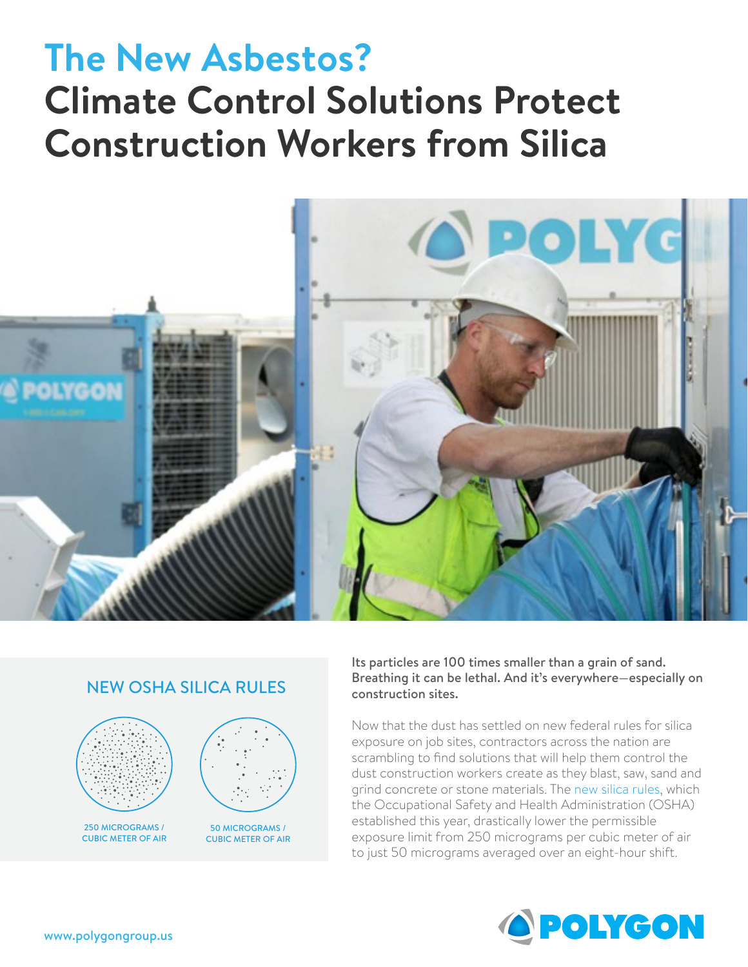# **The New Asbestos? Climate Control Solutions Protect Construction Workers from Silica**



## NEW OSHA SILICA RULES



250 MICROGRAMS / CUBIC METER OF AIR



50 MICROGRAMS / CUBIC METER OF AIR Its particles are 100 times smaller than a grain of sand. Breathing it can be lethal. And it's everywhere—especially on construction sites.

Now that the dust has settled on new federal rules for silica exposure on job sites, contractors across the nation are scrambling to find solutions that will help them control the dust construction workers create as they blast, saw, sand and grind concrete or stone materials. The [new silica rules,](https://www.osha.gov/dsg/topics/silicacrystalline/) which the Occupational Safety and Health Administration (OSHA) established this year, drastically lower the permissible exposure limit from 250 micrograms per cubic meter of air to just 50 micrograms averaged over an eight-hour shift.

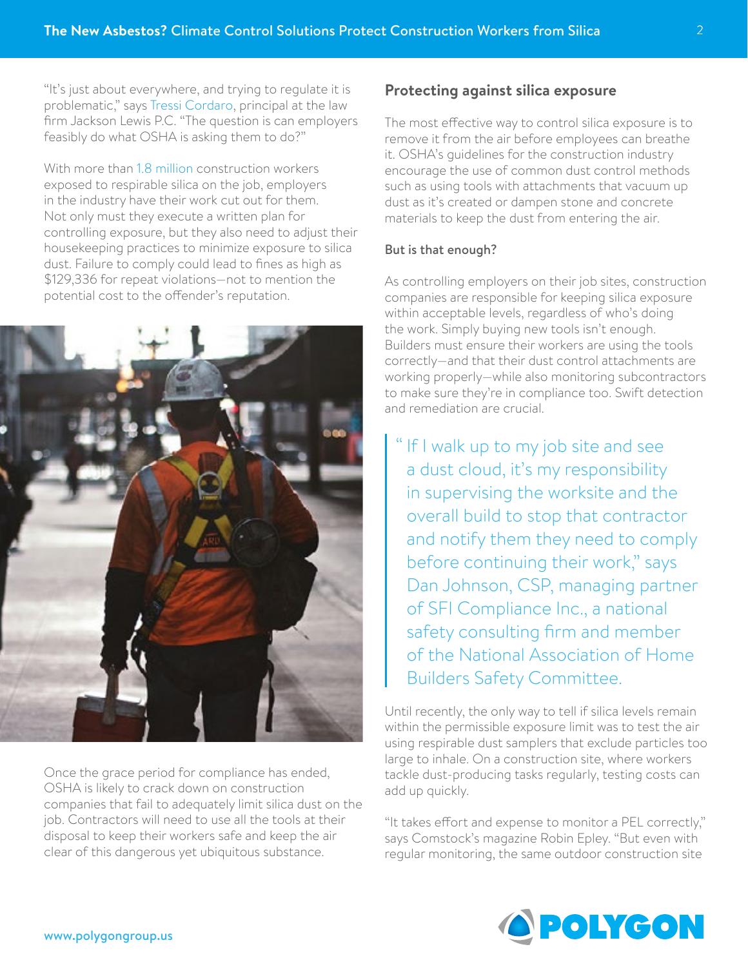"It's just about everywhere, and trying to regulate it is problematic," says [Tressi Cordaro,](http://www.ehstoday.com/industrial-hygiene/new-respirable-silica-rule-poses-problems-construction-industry) principal at the law firm Jackson Lewis P.C. "The question is can employers feasibly do what OSHA is asking them to do?"

With more than [1.8 million](https://www.osha.gov/silica/factsheets/OSHA_FS-3683_Silica_Overview.pdf) construction workers exposed to respirable silica on the job, employers in the industry have their work cut out for them. Not only must they execute a written plan for controlling exposure, but they also need to adjust their housekeeping practices to minimize exposure to silica dust. Failure to comply could lead to fines as high as \$129,336 for repeat violations—not to mention the potential cost to the offender's reputation.



Once the grace period for compliance has ended, OSHA is likely to crack down on construction companies that fail to adequately limit silica dust on the job. Contractors will need to use all the tools at their disposal to keep their workers safe and keep the air clear of this dangerous yet ubiquitous substance.

#### **Protecting against silica exposure**

The most effective way to control silica exposure is to remove it from the air before employees can breathe it. OSHA's guidelines for the construction industry encourage the use of common dust control methods such as using tools with attachments that vacuum up dust as it's created or dampen stone and concrete materials to keep the dust from entering the air.

#### But is that enough?

As controlling employers on their job sites, construction companies are responsible for keeping silica exposure within acceptable levels, regardless of who's doing the work. Simply buying new tools isn't enough. Builders must ensure their workers are using the tools correctly—and that their dust control attachments are working properly—while also monitoring subcontractors to make sure they're in compliance too. Swift detection and remediation are crucial.

" If I walk up to my job site and see a dust cloud, it's my responsibility in supervising the worksite and the overall build to stop that contractor and notify them they need to comply before continuing their work," says Dan Johnson, CSP, managing partner of SFI Compliance Inc., a national safety consulting firm and member of the National Association of Home Builders Safety Committee.

Until recently, the only way to tell if silica levels remain within the permissible exposure limit was to test the air using respirable dust samplers that exclude particles too large to inhale. On a construction site, where workers tackle dust-producing tasks regularly, testing costs can add up quickly.

"It takes effort and expense to monitor a PEL correctly," says Comstock's magazine Robin Epley. "But even with regular monitoring, the same outdoor construction site